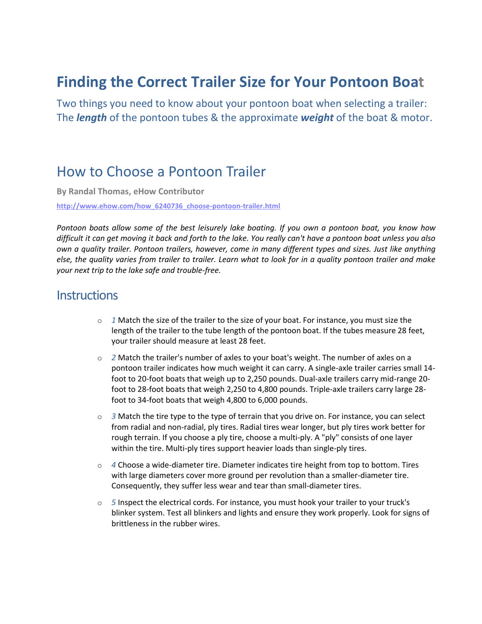## **Finding the Correct Trailer Size for Your Pontoon Boat**

Two things you need to know about your pontoon boat when selecting a trailer: The *length* of the pontoon tubes & the approximate *weight* of the boat & motor.

### How to Choose a Pontoon Trailer

**By Randal Thomas, eHow Contributor**

**[http://www.ehow.com/how\\_6240736\\_choose-pontoon-trailer.html](http://www.ehow.com/how_6240736_choose-pontoon-trailer.html)**

*Pontoon boats allow some of the best leisurely lake boating. If you own a pontoon boat, you know how difficult it can get moving it back and forth to the lake. You really can't have a pontoon boat unless you also own a quality trailer. Pontoon trailers, however, come in many different types and sizes. Just like anything else, the quality varies from trailer to trailer. Learn what to look for in a quality pontoon trailer and make your next trip to the lake safe and trouble-free.* 

#### **Instructions**

- o *1* Match the size of the trailer to the size of your boat. For instance, you must size the length of the trailer to the tube length of the pontoon boat. If the tubes measure 28 feet, your trailer should measure at least 28 feet.
- o *2* Match the trailer's number of axles to your boat's weight. The number of axles on a pontoon trailer indicates how much weight it can carry. A single-axle trailer carries small 14 foot to 20-foot boats that weigh up to 2,250 pounds. Dual-axle trailers carry mid-range 20 foot to 28-foot boats that weigh 2,250 to 4,800 pounds. Triple-axle trailers carry large 28 foot to 34-foot boats that weigh 4,800 to 6,000 pounds.
- $\circ$  *3* Match the tire type to the type of terrain that you drive on. For instance, you can select from radial and non-radial, ply tires. Radial tires wear longer, but ply tires work better for rough terrain. If you choose a ply tire, choose a multi-ply. A "ply" consists of one layer within the tire. Multi-ply tires support heavier loads than single-ply tires.
- o *4* Choose a wide-diameter tire. Diameter indicates tire height from top to bottom. Tires with large diameters cover more ground per revolution than a smaller-diameter tire. Consequently, they suffer less wear and tear than small-diameter tires.
- o *5* Inspect the electrical cords. For instance, you must hook your trailer to your truck's blinker system. Test all blinkers and lights and ensure they work properly. Look for signs of brittleness in the rubber wires.